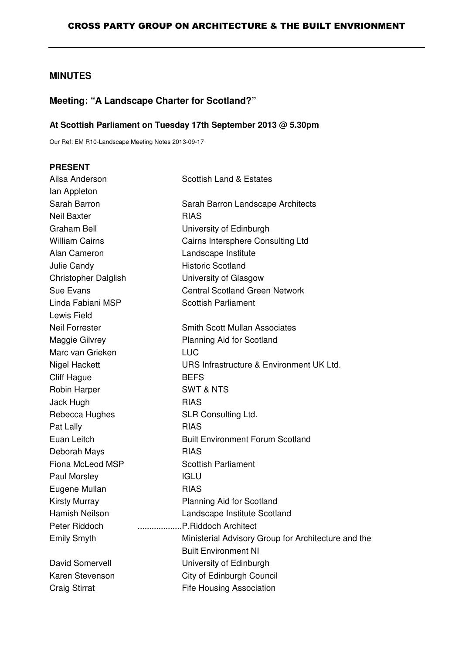# **MINUTES**

# **Meeting: "A Landscape Charter for Scotland?"**

#### **At Scottish Parliament on Tuesday 17th September 2013 @ 5.30pm**

Our Ref: EM R10-Landscape Meeting Notes 2013-09-17

| <b>PRESENT</b>              |                                                     |
|-----------------------------|-----------------------------------------------------|
| Ailsa Anderson              | <b>Scottish Land &amp; Estates</b>                  |
| lan Appleton                |                                                     |
| Sarah Barron                | Sarah Barron Landscape Architects                   |
| <b>Neil Baxter</b>          | <b>RIAS</b>                                         |
| <b>Graham Bell</b>          | University of Edinburgh                             |
| <b>William Cairns</b>       | Cairns Intersphere Consulting Ltd                   |
| Alan Cameron                | Landscape Institute                                 |
| Julie Candy                 | <b>Historic Scotland</b>                            |
| <b>Christopher Dalglish</b> | University of Glasgow                               |
| Sue Evans                   | <b>Central Scotland Green Network</b>               |
| Linda Fabiani MSP           | <b>Scottish Parliament</b>                          |
| <b>Lewis Field</b>          |                                                     |
| <b>Neil Forrester</b>       | <b>Smith Scott Mullan Associates</b>                |
| Maggie Gilvrey              | Planning Aid for Scotland                           |
| Marc van Grieken            | <b>LUC</b>                                          |
| Nigel Hackett               | URS Infrastructure & Environment UK Ltd.            |
| <b>Cliff Hague</b>          | <b>BEFS</b>                                         |
| Robin Harper                | <b>SWT &amp; NTS</b>                                |
| Jack Hugh                   | <b>RIAS</b>                                         |
| Rebecca Hughes              | SLR Consulting Ltd.                                 |
| Pat Lally                   | <b>RIAS</b>                                         |
| Euan Leitch                 | <b>Built Environment Forum Scotland</b>             |
| Deborah Mays                | <b>RIAS</b>                                         |
| Fiona McLeod MSP            | <b>Scottish Parliament</b>                          |
| Paul Morsley                | <b>IGLU</b>                                         |
| Eugene Mullan               | <b>RIAS</b>                                         |
| <b>Kirsty Murray</b>        | <b>Planning Aid for Scotland</b>                    |
| Hamish Neilson              | Landscape Institute Scotland                        |
| Peter Riddoch               | P.Riddoch Architect                                 |
| <b>Emily Smyth</b>          | Ministerial Advisory Group for Architecture and the |
|                             | <b>Built Environment NI</b>                         |
| David Somervell             | University of Edinburgh                             |
| Karen Stevenson             | City of Edinburgh Council                           |
| <b>Craig Stirrat</b>        | <b>Fife Housing Association</b>                     |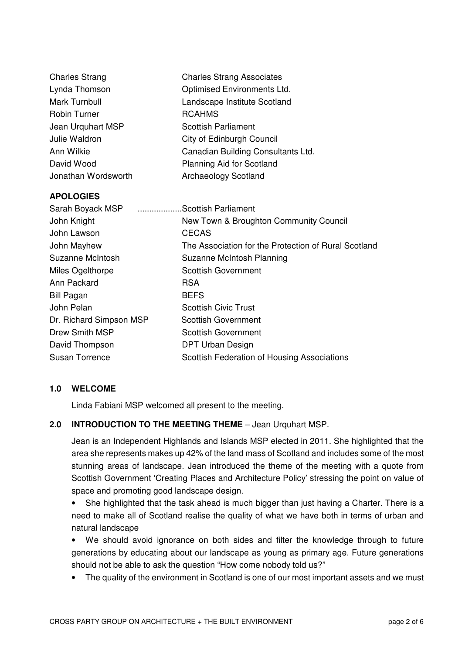| <b>Charles Strang</b> | <b>Charles Strang Associates</b>   |
|-----------------------|------------------------------------|
| Lynda Thomson         | Optimised Environments Ltd.        |
| Mark Turnbull         | Landscape Institute Scotland       |
| <b>Robin Turner</b>   | <b>RCAHMS</b>                      |
| Jean Urguhart MSP     | <b>Scottish Parliament</b>         |
| Julie Waldron         | City of Edinburgh Council          |
| Ann Wilkie            | Canadian Building Consultants Ltd. |
| David Wood            | <b>Planning Aid for Scotland</b>   |
| Jonathan Wordsworth   | Archaeology Scotland               |

#### **APOLOGIES**

| Sarah Boyack MSP        | Scottish Parliament                                  |
|-------------------------|------------------------------------------------------|
| John Knight             | New Town & Broughton Community Council               |
| John Lawson             | <b>CECAS</b>                                         |
| John Mayhew             | The Association for the Protection of Rural Scotland |
| Suzanne McIntosh        | Suzanne McIntosh Planning                            |
| Miles Ogelthorpe        | <b>Scottish Government</b>                           |
| Ann Packard             | <b>RSA</b>                                           |
| <b>Bill Pagan</b>       | <b>BEFS</b>                                          |
| John Pelan              | <b>Scottish Civic Trust</b>                          |
| Dr. Richard Simpson MSP | <b>Scottish Government</b>                           |
| Drew Smith MSP          | <b>Scottish Government</b>                           |
| David Thompson          | DPT Urban Design                                     |
| <b>Susan Torrence</b>   | Scottish Federation of Housing Associations          |

### **1.0 WELCOME**

Linda Fabiani MSP welcomed all present to the meeting.

#### **2.0 INTRODUCTION TO THE MEETING THEME** – Jean Urquhart MSP.

Jean is an Independent Highlands and Islands MSP elected in 2011. She highlighted that the area she represents makes up 42% of the land mass of Scotland and includes some of the most stunning areas of landscape. Jean introduced the theme of the meeting with a quote from Scottish Government 'Creating Places and Architecture Policy' stressing the point on value of space and promoting good landscape design.

• She highlighted that the task ahead is much bigger than just having a Charter. There is a need to make all of Scotland realise the quality of what we have both in terms of urban and natural landscape

• We should avoid ignorance on both sides and filter the knowledge through to future generations by educating about our landscape as young as primary age. Future generations should not be able to ask the question "How come nobody told us?"

• The quality of the environment in Scotland is one of our most important assets and we must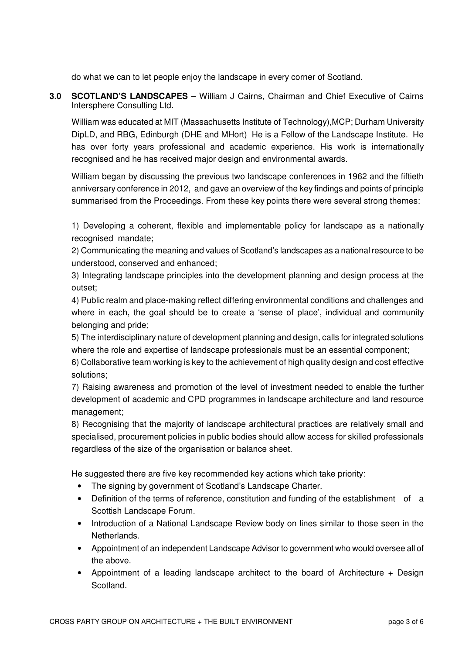do what we can to let people enjoy the landscape in every corner of Scotland.

**3.0 SCOTLAND'S LANDSCAPES** – William J Cairns, Chairman and Chief Executive of Cairns Intersphere Consulting Ltd.

William was educated at MIT (Massachusetts Institute of Technology),MCP; Durham University DipLD, and RBG, Edinburgh (DHE and MHort) He is a Fellow of the Landscape Institute. He has over forty years professional and academic experience. His work is internationally recognised and he has received major design and environmental awards.

William began by discussing the previous two landscape conferences in 1962 and the fiftieth anniversary conference in 2012, and gave an overview of the key findings and points of principle summarised from the Proceedings. From these key points there were several strong themes:

1) Developing a coherent, flexible and implementable policy for landscape as a nationally recognised mandate;

2) Communicating the meaning and values of Scotland's landscapes as a national resource to be understood, conserved and enhanced;

3) Integrating landscape principles into the development planning and design process at the outset;

4) Public realm and place-making reflect differing environmental conditions and challenges and where in each, the goal should be to create a 'sense of place', individual and community belonging and pride;

5) The interdisciplinary nature of development planning and design, calls for integrated solutions where the role and expertise of landscape professionals must be an essential component;

6) Collaborative team working is key to the achievement of high quality design and cost effective solutions;

7) Raising awareness and promotion of the level of investment needed to enable the further development of academic and CPD programmes in landscape architecture and land resource management;

8) Recognising that the majority of landscape architectural practices are relatively small and specialised, procurement policies in public bodies should allow access for skilled professionals regardless of the size of the organisation or balance sheet.

He suggested there are five key recommended key actions which take priority:

- The signing by government of Scotland's Landscape Charter.
- Definition of the terms of reference, constitution and funding of the establishment of a Scottish Landscape Forum.
- Introduction of a National Landscape Review body on lines similar to those seen in the Netherlands.
- Appointment of an independent Landscape Advisor to government who would oversee all of the above.
- Appointment of a leading landscape architect to the board of Architecture + Design Scotland.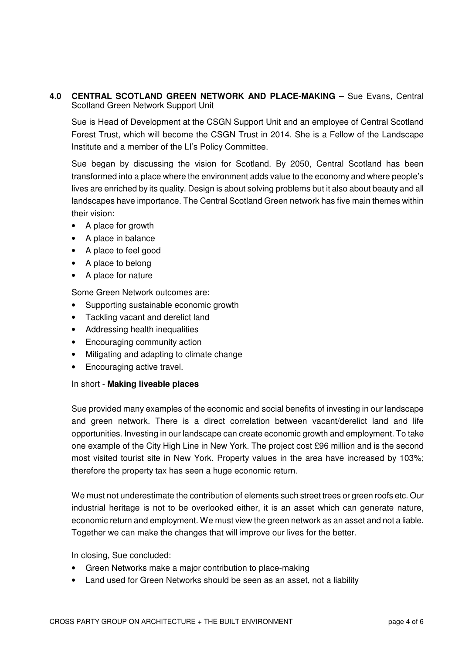**4.0 CENTRAL SCOTLAND GREEN NETWORK AND PLACE-MAKING** – Sue Evans, Central Scotland Green Network Support Unit

Sue is Head of Development at the CSGN Support Unit and an employee of Central Scotland Forest Trust, which will become the CSGN Trust in 2014. She is a Fellow of the Landscape Institute and a member of the LI's Policy Committee.

Sue began by discussing the vision for Scotland. By 2050, Central Scotland has been transformed into a place where the environment adds value to the economy and where people's lives are enriched by its quality. Design is about solving problems but it also about beauty and all landscapes have importance. The Central Scotland Green network has five main themes within their vision:

- A place for growth
- A place in balance
- A place to feel good
- A place to belong
- A place for nature

Some Green Network outcomes are:

- Supporting sustainable economic growth
- Tackling vacant and derelict land
- Addressing health inequalities
- Encouraging community action
- Mitigating and adapting to climate change
- Encouraging active travel.

#### In short - **Making liveable places**

Sue provided many examples of the economic and social benefits of investing in our landscape and green network. There is a direct correlation between vacant/derelict land and life opportunities. Investing in our landscape can create economic growth and employment. To take one example of the City High Line in New York. The project cost £96 million and is the second most visited tourist site in New York. Property values in the area have increased by 103%; therefore the property tax has seen a huge economic return.

We must not underestimate the contribution of elements such street trees or green roofs etc. Our industrial heritage is not to be overlooked either, it is an asset which can generate nature, economic return and employment. We must view the green network as an asset and not a liable. Together we can make the changes that will improve our lives for the better.

In closing, Sue concluded:

- Green Networks make a major contribution to place-making
- Land used for Green Networks should be seen as an asset, not a liability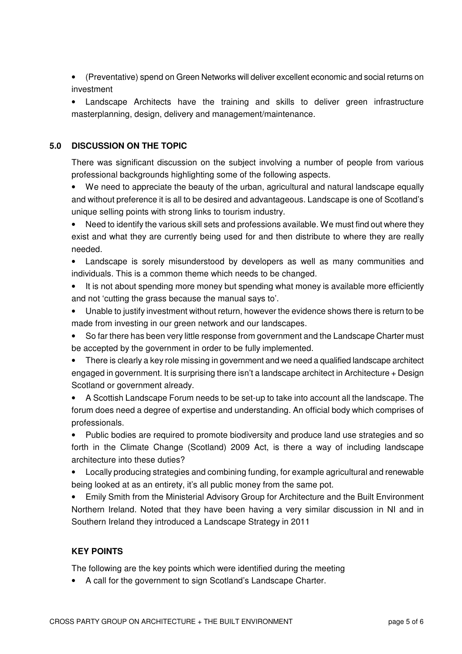• (Preventative) spend on Green Networks will deliver excellent economic and social returns on investment

• Landscape Architects have the training and skills to deliver green infrastructure masterplanning, design, delivery and management/maintenance.

# **5.0 DISCUSSION ON THE TOPIC**

There was significant discussion on the subject involving a number of people from various professional backgrounds highlighting some of the following aspects.

• We need to appreciate the beauty of the urban, agricultural and natural landscape equally and without preference it is all to be desired and advantageous. Landscape is one of Scotland's unique selling points with strong links to tourism industry.

• Need to identify the various skill sets and professions available. We must find out where they exist and what they are currently being used for and then distribute to where they are really needed.

- Landscape is sorely misunderstood by developers as well as many communities and individuals. This is a common theme which needs to be changed.
- It is not about spending more money but spending what money is available more efficiently and not 'cutting the grass because the manual says to'.
- Unable to justify investment without return, however the evidence shows there is return to be made from investing in our green network and our landscapes.
- So far there has been very little response from government and the Landscape Charter must be accepted by the government in order to be fully implemented.
- There is clearly a key role missing in government and we need a qualified landscape architect engaged in government. It is surprising there isn't a landscape architect in Architecture + Design Scotland or government already.

• A Scottish Landscape Forum needs to be set-up to take into account all the landscape. The forum does need a degree of expertise and understanding. An official body which comprises of professionals.

• Public bodies are required to promote biodiversity and produce land use strategies and so forth in the Climate Change (Scotland) 2009 Act, is there a way of including landscape architecture into these duties?

• Locally producing strategies and combining funding, for example agricultural and renewable being looked at as an entirety, it's all public money from the same pot.

• Emily Smith from the Ministerial Advisory Group for Architecture and the Built Environment Northern Ireland. Noted that they have been having a very similar discussion in NI and in Southern Ireland they introduced a Landscape Strategy in 2011

### **KEY POINTS**

The following are the key points which were identified during the meeting

• A call for the government to sign Scotland's Landscape Charter.